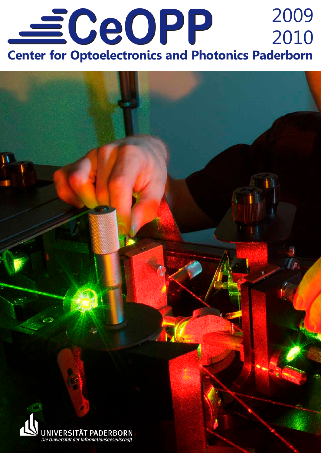

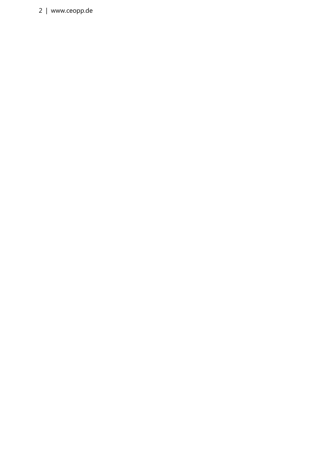## 2 | www.ceopp.de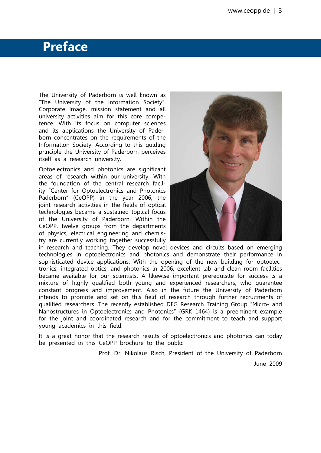# **Preface**

The University of Paderborn is well known as "The University of the Information Society". Corporate Image, mission statement and all university activities aim for this core competence. With its focus on computer sciences and its applications the University of Paderborn concentrates on the requirements of the Information Society. According to this guiding principle the University of Paderborn perceives itself as a research university.

Optoelectronics and photonics are significant areas of research within our university. With the foundation of the central research facility "Center for Optoelectronics and Photonics Paderborn" (CeOPP) in the year 2006, the joint research activities in the fields of optical technologies became a sustained topical focus of the University of Paderborn. Within the CeOPP, twelve groups from the departments of physics, electrical engineering and chemistry are currently working together successfully



in research and teaching. They develop novel devices and circuits based on emerging technologies in optoelectronics and photonics and demonstrate their performance in sophisticated device applications. With the opening of the new building for optoelectronics, integrated optics, and photonics in 2006, excellent lab and clean room facilities became available for our scientists. A likewise important prerequisite for success is a mixture of highly qualified both young and experienced researchers, who guarantee constant progress and improvement. Also in the future the University of Paderborn intends to promote and set on this field of research through further recruitments of qualified researchers. The recently established DFG Research Training Group "Micro- and Nanostructures in Optoelectronics and Photonics" (GRK 1464) is a preeminent example for the joint and coordinated research and for the commitment to teach and support young academics in this field.

It is a great honor that the research results of optoelectronics and photonics can today be presented in this CeOPP brochure to the public.

Prof. Dr. Nikolaus Risch, President of the University of Paderborn

June 2009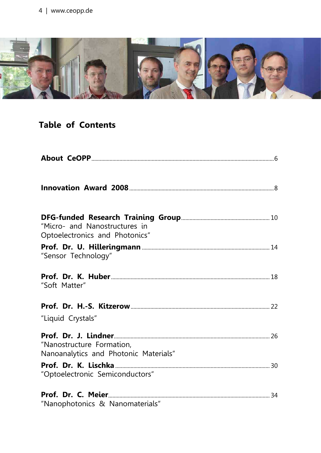

# **Table of Contents**

| "Micro- and Nanostructures in<br>Optoelectronics and Photonics"    |
|--------------------------------------------------------------------|
| "Sensor Technology"                                                |
| "Soft Matter"                                                      |
| "Liquid Crystals"                                                  |
| "Nanostructure Formation,<br>Nanoanalytics and Photonic Materials" |
| "Optoelectronic Semiconductors"                                    |
| "Nanophotonics & Nanomaterials"                                    |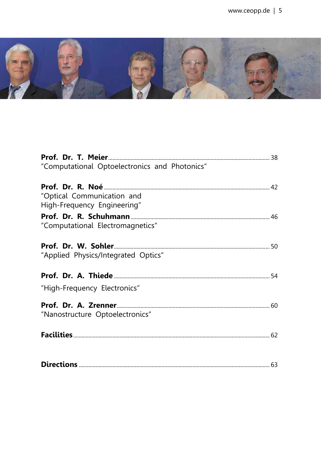

| "Computational Optoelectronics and Photonics"             |
|-----------------------------------------------------------|
| "Optical Communication and<br>High-Frequency Engineering" |
| "Computational Electromagnetics"                          |
| "Applied Physics/Integrated Optics"                       |
|                                                           |
| "High-Frequency Electronics"                              |
| "Nanostructure Optoelectronics"                           |
|                                                           |
|                                                           |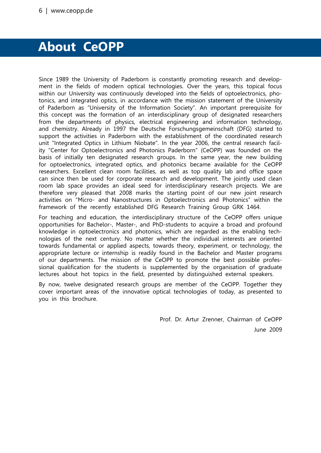# **About CeOPP**

Since 1989 the University of Paderborn is constantly promoting research and development in the fields of modern optical technologies. Over the years, this topical focus within our University was continuously developed into the fields of optoelectronics, photonics, and integrated optics, in accordance with the mission statement of the University of Paderborn as "University of the Information Society". An important prerequisite for this concept was the formation of an interdisciplinary group of designated researchers from the departments of physics, electrical engineering and information technology, and chemistry. Already in 1997 the Deutsche Forschungsgemeinschaft (DFG) started to support the activities in Paderborn with the establishment of the coordinated research unit "Integrated Optics in Lithium Niobate". In the year 2006, the central research facility "Center for Optoelectronics and Photonics Paderborn" (CeOPP) was founded on the basis of initially ten designated research groups. In the same year, the new building for optoelectronics, integrated optics, and photonics became available for the CeOPP researchers. Excellent clean room facilities, as well as top quality lab and office space can since then be used for corporate research and development. The jointly used clean room lab space provides an ideal seed for interdisciplinary research projects. We are therefore very pleased that 2008 marks the starting point of our new joint research activities on "Micro- and Nanostructures in Optoelectronics and Photonics" within the framework of the recently established DFG Research Training Group GRK 1464.

For teaching and education, the interdisciplinary structure of the CeOPP offers unique opportunities for Bachelor-, Master-, and PhD-students to acquire a broad and profound knowledge in optoelectronics and photonics, which are regarded as the enabling technologies of the next century. No matter whether the individual interests are oriented towards fundamental or applied aspects, towards theory, experiment, or technology, the appropriate lecture or internship is readily found in the Bachelor and Master programs of our departments. The mission of the CeOPP to promote the best possible professional qualification for the students is supplemented by the organisation of graduate lectures about hot topics in the field, presented by distinguished external speakers.

By now, twelve designated research groups are member of the CeOPP. Together they cover important areas of the innovative optical technologies of today, as presented to you in this brochure.

> Prof. Dr. Artur Zrenner, Chairman of CeOPP June 2009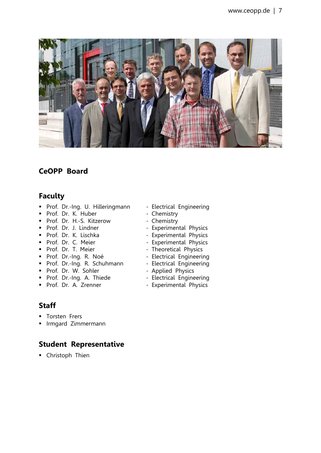

## **CeOPP Board**

### **Faculty**

- Prof. Dr.-Ing. U. Hilleringmann Electrical Engineering
- Prof. Dr. K. Huber Chemistry
- Prof. Dr. H.-S. Kitzerow Chemistry
- 
- 
- 
- 
- 
- Prof. Dr.-Ing. R. Noé Electrical Engineering<br>■ Prof. Dr.-Ing. R. Schuhmann Electrical Engineering Prof. Dr.-Ing. R. Schuhmann
- 
- Prof. Dr. W. Sohler Applied Physics<br>Prof. Dr.-Ing. A. Thiede Electrical Engineering  $\blacksquare$  Prof. Dr.-Ing. A. Thiede
- 
- 
- 
- 
- Prof. Dr. J. Lindner Experimental Physics
- Prof. Dr. K. Lischka Experimental Physics
- Prof. Dr. C. Meier Experimental Physics
- Prof. Dr. T. Meier Theoretical Physics
	-
	-
	-
	-
- Prof. Dr. A. Zrenner Experimental Physics

#### **Staff**

- **Torsten Frers**
- **I** Irmgard Zimmermann

#### **Student Representative**

**-** Christoph Thien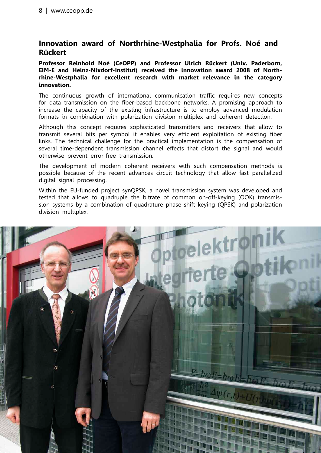#### **Innovation award of Northrhine-Westphalia for Profs. Noé and Rückert**

**Professor Reinhold Noé (CeOPP) and Professor Ulrich Rückert (Univ. Paderborn, EIM-E and Heinz-Nixdorf-Institut) received the innovation award 2008 of Northrhine-Westphalia for excellent research with market relevance in the category innovation.**

The continuous growth of international communication traffic requires new concepts for data transmission on the fiber-based backbone networks. A promising approach to increase the capacity of the existing infrastructure is to employ advanced modulation formats in combination with polarization division multiplex and coherent detection.

Although this concept requires sophisticated transmitters and receivers that allow to transmit several bits per symbol it enables very efficient exploitation of existing fiber links. The technical challenge for the practical implementation is the compensation of several time-dependent transmission channel effects that distort the signal and would otherwise prevent error-free transmission.

The development of modern coherent receivers with such compensation methods is possible because of the recent advances circuit technology that allow fast parallelized digital signal processing.

Within the EU-funded project synQPSK, a novel transmission system was developed and tested that allows to quadruple the bitrate of common on-off-keying (OOK) transmission systems by a combination of quadrature phase shift keying (QPSK) and polarization division multiplex.

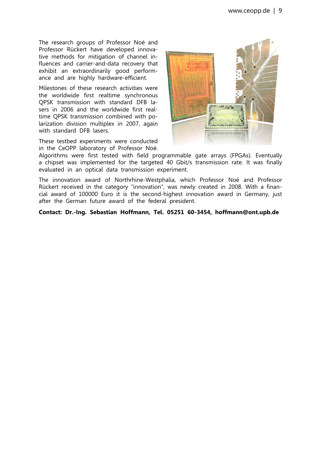The research groups of Professor Noé and Professor Rückert have developed innovative methods for mitigation of channel influences and carrier-and-data recovery that exhibit an extraordinarily good performance and are highly hardware-efficient.

Milestones of these research activities were the worldwide first realtime synchronous QPSK transmission with standard DFB lasers in 2006 and the worldwide first realtime QPSK transmission combined with polarization division multiplex in 2007, again with standard DFB lasers.

These testbed experiments were conducted in the CeOPP laboratory of Professor Noé.



Algorithms were first tested with field programmable gate arrays (FPGAs). Eventually a chipset was implemented for the targeted 40 Gbit/s transmission rate. It was finally evaluated in an optical data transmission experiment.

The innovation award of Northrhine-Westphalia, which Professor Noé and Professor Rückert received in the category "innovation", was newly created in 2008. With a financial award of 100000 Euro it is the second-highest innovation award in Germany, just after the German future award of the federal president.

**Contact: Dr.-Ing. Sebastian Hoffmann, Tel. 05251 60-3454, hoffmann@ont.upb.de**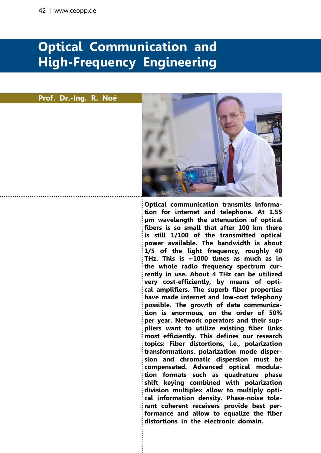# **Optical Communication and High-Frequency Engineering**

#### **Prof. Dr.-Ing. R. Noé**



**Optical communication transmits information for internet and telephone. At 1.55 µm wavelength the attenuation of optical fibers is so small that after 100 km there is still 1/100 of the transmitted optical power available. The bandwidth is about 1/5 of the light frequency, roughly 40 THz. This is ~1000 times as much as in the whole radio frequency spectrum currently in use. About 4 THz can be utilized very cost-efficiently, by means of optical amplifiers. The superb fiber properties have made internet and low-cost telephony possible. The growth of data communication is enormous, on the order of 50% per year. Network operators and their suppliers want to utilize existing fiber links most efficiently. This defines our research topics: Fiber distortions, i.e., polarization transformations, polarization mode dispersion and chromatic dispersion must be compensated. Advanced optical modulation formats such as quadrature phase shift keying combined with polarization division multiplex allow to multiply optical information density. Phase-noise tolerant coherent receivers provide best performance and allow to equalize the fiber distortions in the electronic domain.**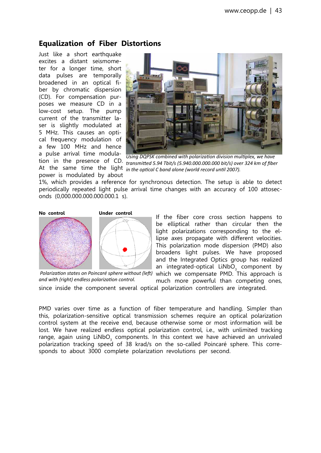#### **Equalization of Fiber Distortions**

Just like a short earthquake excites a distant seismometer for a longer time, short data pulses are temporally broadened in an optical fiber by chromatic dispersion (CD). For compensation purposes we measure CD in a low-cost setup. The pump current of the transmitter laser is slightly modulated at 5 MHz. This causes an optical frequency modulation of a few 100 MHz and hence a pulse arrival time modulapower is modulated by about



tion in the presence of CD. *transmitted 5.94 Tbit/s (5.940.000.000.000 bit/s) over 324 km of fiber*  At the same time the light *in the optical C band alone (world record until 2007). Using DQPSK combined with polarization division multiplex, we have* 

1%, which provides a reference for synchronous detection. The setup is able to detect periodically repeated light pulse arrival time changes with an accuracy of 100 attoseconds (0,000.000.000.000.000.1 s).



*and with (right) endless polarization control.*

If the fiber core cross section happens to be elliptical rather than circular then the light polarizations corresponding to the ellipse axes propagate with different velocities. This polarization mode dispersion (PMD) also broadens light pulses. We have proposed and the Integrated Optics group has realized an integrated-optical LiNbO<sub>3</sub> component by which we compensate PMD. This approach is much more powerful than competing ones,

since inside the component several optical polarization controllers are integrated.

PMD varies over time as a function of fiber temperature and handling. Simpler than this, polarization-sensitive optical transmission schemes require an optical polarization control system at the receive end, because otherwise some or most information will be lost. We have realized endless optical polarization control, i.e., with unlimited tracking range, again using LiNbO<sub>3</sub> components. In this context we have achieved an unrivaled polarization tracking speed of 38 krad/s on the so-called Poincaré sphere. This corresponds to about 3000 complete polarization revolutions per second.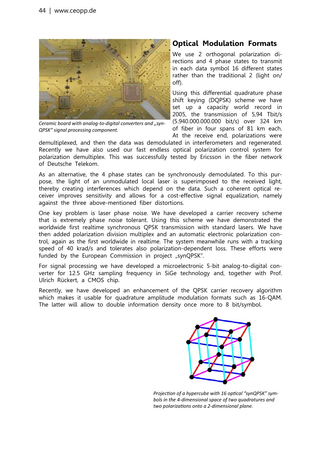

Ceramic board with analog-to-digital converters and "syn-*QPSK" signal processing component.*

#### **Optical Modulation Formats**

We use 2 orthogonal polarization directions and 4 phase states to transmit in each data symbol 16 different states rather than the traditional 2 (light on/ off).

Using this differential quadrature phase shift keying (DQPSK) scheme we have set up a capacity world record in 2005, the transmission of 5,94 Tbit/s (5.940.000.000.000 bit/s) over 324 km of fiber in four spans of 81 km each. At the receive end, polarizations were

demultiplexed, and then the data was demodulated in interferometers and regenerated. Recently we have also used our fast endless optical polarization control system for polarization demultiplex. This was successfully tested by Ericsson in the fiber network of Deutsche Telekom.

As an alternative, the 4 phase states can be synchronously demodulated. To this purpose, the light of an unmodulated local laser is superimposed to the received light, thereby creating interferences which depend on the data. Such a coherent optical receiver improves sensitivity and allows for a cost-effective signal equalization, namely against the three above-mentioned fiber distortions.

One key problem is laser phase noise. We have developed a carrier recovery scheme that is extremely phase noise tolerant. Using this scheme we have demonstrated the worldwide first realtime synchronous QPSK transmission with standard lasers. We have then added polarization division multiplex and an automatic electronic polarization control, again as the first worldwide in realtime. The system meanwhile runs with a tracking speed of 40 krad/s and tolerates also polarization-dependent loss. These efforts were funded by the European Commission in project "synQPSK".

For signal processing we have developed a microelectronic 5-bit analog-to-digital converter for 12.5 GHz sampling frequency in SiGe technology and, together with Prof. Ulrich Rückert, a CMOS chip.

Recently, we have developed an enhancement of the QPSK carrier recovery algorithm which makes it usable for quadrature amplitude modulation formats such as 16-QAM. The latter will allow to double information density once more to 8 bit/symbol.



*Projection of a hypercube with 16 optical "synQPSK" symbols in the 4-dimensional space of two quadratures and two polarizations onto a 2-dimensional plane.*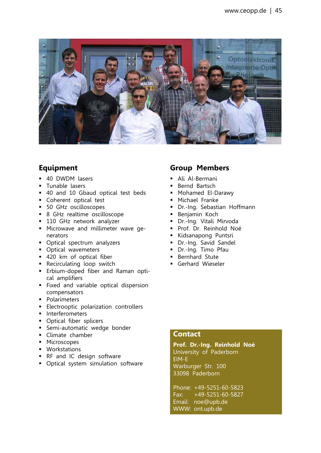

#### **Equipment**

- 40 DWDM lasers
- **Tunable lasers**
- 40 and 10 Gbaud optical test beds
- **Coherent optical test**
- **50 GHz oscilloscopes**
- 8 GHz realtime oscilloscope
- **110 GHz network analyzer**
- Microwave and millimeter wave generators
- **•** Optical spectrum analyzers
- **Optical wavemeters**
- 420 km of optical fiber
- **Recirculating loop switch**
- Erbium-doped fiber and Raman optical amplifiers
- Fixed and variable optical dispersion compensators
- Polarimeters
- **Electrooptic polarization controllers**
- **Interferometers**
- **•** Optical fiber splicers
- **Semi-automatic wedge bonder**
- **Climate chamber**
- **Microscopes**
- **•** Workstations
- **RF** and IC design software
- **•** Optical system simulation software

#### **Group Members**

- Ali Al-Bermani
- Bernd Bartsch
- **Mohamed El-Darawy**
- **Michael Franke**
- Dr.-Ing. Sebastian Hoffmann
- **Benjamin Koch**
- **Dr.-Ing. Vitali Mirvoda**
- Prof. Dr. Reinhold Noé
- Kidsanapong Puntsri
- Dr.-Ing. Savid Sandel
- Dr.-Ing. Timo Pfau
- **Bernhard Stute**
- Gerhard Wieseler

#### **Contact**

**Prof. Dr.-Ing. Reinhold Noé** University of Paderborn EIM-E Warburger Str. 100 33098 Paderborn

Phone: +49-5251-60-5823 Fax: +49-5251-60-5827 Email: noe@upb.de WWW: ont.upb.de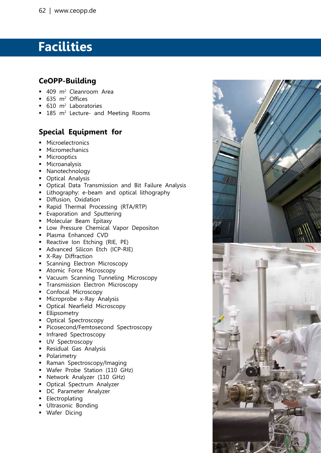# **Facilities**

### **CeOPP-Building**

- 409 m<sup>2</sup> Cleanroom Area
- 635 m<sup>2</sup> Offices
- 610 m<sup>2</sup> Laboratories
- $\blacksquare$  185 m<sup>2</sup> Lecture- and Meeting Rooms

## **Special Equipment for**

- **Microelectronics**
- **Micromechanics**
- **Microoptics**
- **Microanalysis**
- Nanotechnology
- **Optical Analysis**
- Optical Data Transmission and Bit Failure Analysis
- **EXECUTE:** Lithography: e-beam and optical lithography
- **•** Diffusion, Oxidation
- Rapid Thermal Processing (RTA/RTP)
- **Exaporation and Sputtering**
- **Molecular Beam Epitaxy**
- **-** Low Pressure Chemical Vapor Depositon
- **Plasma Enhanced CVD**
- **Reactive Ion Etching (RIE, PE)**
- **Advanced Silicon Etch (ICP-RIE)**
- **X-Ray Diffraction**
- **Scanning Electron Microscopy**
- **Atomic Force Microscopy**
- **Vacuum Scanning Tunneling Microscopy**
- **Transmission Electron Microscopy**
- **Confocal Microscopy**
- **Microprobe x-Ray Analysis**
- **Optical Nearfield Microscopy**
- **Ellipsometry**
- Optical Spectroscopy
- **Picosecond/Femtosecond Spectroscopy**
- **Infrared Spectroscopy**
- **UV** Spectroscopy
- Residual Gas Analysis
- Polarimetry
- **Raman Spectroscopy/Imaging**
- Wafer Probe Station (110 GHz)
- **Network Analyzer (110 GHz)**
- **Optical Spectrum Analyzer**
- DC Parameter Analyzer
- **Electroplating**
- **Ultrasonic Bonding**
- **Wafer Dicing**

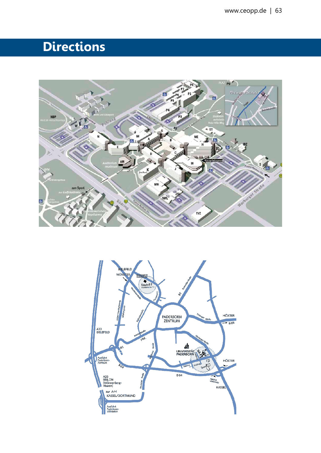# **Directions**